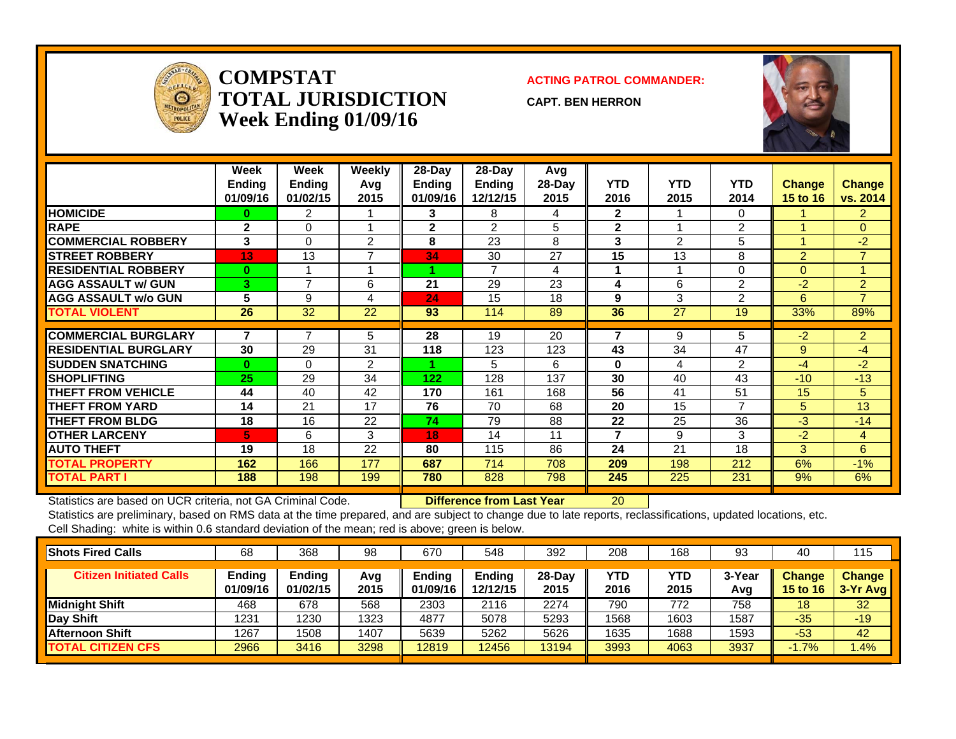

**COMPSTATTOTAL JURISDICTIONWeek Ending 01/09/16**

**ACTING PATROL COMMANDER:**

**CAPT. BEN HERRON**



|                             | Week<br><b>Ending</b><br>01/09/16 | Week<br><b>Ending</b><br>01/02/15 | <b>Weekly</b><br>Avq<br>2015 | $28$ -Day<br><b>Endina</b><br>01/09/16 | 28-Day<br><b>Ending</b><br>12/12/15 | Avg<br>28-Day<br>2015 | <b>YTD</b><br>2016 | <b>YTD</b><br>2015 | <b>YTD</b><br>2014 | <b>Change</b><br>15 to 16 | <b>Change</b><br>vs. 2014 |
|-----------------------------|-----------------------------------|-----------------------------------|------------------------------|----------------------------------------|-------------------------------------|-----------------------|--------------------|--------------------|--------------------|---------------------------|---------------------------|
| <b>HOMICIDE</b>             | 0                                 | 2                                 |                              | 3                                      | 8                                   | 4                     | $\mathbf{2}$       |                    | 0                  |                           | $\overline{2}$            |
| <b>RAPE</b>                 | $\mathbf{2}$                      | 0                                 |                              | $\mathbf{2}$                           | $\mathcal{P}$                       | 5                     | $\mathbf{2}$       |                    | 2                  |                           | $\Omega$                  |
| <b>COMMERCIAL ROBBERY</b>   | 3                                 | 0                                 | 2                            | 8                                      | 23                                  | 8                     | 3                  | $\overline{2}$     | 5                  |                           | $-2$                      |
| <b>STREET ROBBERY</b>       | 13                                | 13                                | ⇁                            | 34                                     | 30                                  | 27                    | 15                 | 13                 | 8                  | $\overline{2}$            | $\overline{7}$            |
| <b>RESIDENTIAL ROBBERY</b>  | $\bf{0}$                          |                                   |                              |                                        | $\overline{7}$                      | 4                     |                    |                    | 0                  | $\Omega$                  | 4                         |
| <b>AGG ASSAULT w/ GUN</b>   | 3                                 | $\overline{7}$                    | 6                            | 21                                     | 29                                  | 23                    | 4                  | 6                  | 2                  | $-2$                      | $\overline{2}$            |
| <b>AGG ASSAULT w/o GUN</b>  | 5                                 | 9                                 | 4                            | 24                                     | 15                                  | 18                    | 9                  | 3                  | 2                  | 6                         | $\overline{7}$            |
| <b>TOTAL VIOLENT</b>        | 26                                | 32                                | 22                           | 93                                     | 114                                 | 89                    | 36                 | 27                 | 19                 | 33%                       | 89%                       |
|                             | 7                                 | $\overline{7}$                    |                              |                                        |                                     |                       | 7                  |                    |                    |                           |                           |
| <b>COMMERCIAL BURGLARY</b>  |                                   |                                   | 5                            | 28                                     | 19                                  | 20                    |                    | 9                  | 5                  | $-2$                      | $\overline{2}$            |
| <b>RESIDENTIAL BURGLARY</b> | 30                                | 29                                | 31                           | 118                                    | 123                                 | 123                   | 43                 | 34                 | 47                 | 9                         | -4                        |
| <b>SUDDEN SNATCHING</b>     | 0                                 | $\Omega$                          | $\overline{2}$               |                                        | 5                                   | 6                     | $\bf{0}$           | 4                  | 2                  | $-4$                      | $-2$                      |
| <b>ISHOPLIFTING</b>         | 25                                | 29                                | 34                           | 122                                    | 128                                 | 137                   | 30                 | 40                 | 43                 | $-10$                     | $-13$                     |
| <b>THEFT FROM VEHICLE</b>   | 44                                | 40                                | 42                           | 170                                    | 161                                 | 168                   | 56                 | 41                 | 51                 | 15                        | 5                         |
| <b>THEFT FROM YARD</b>      | 14                                | 21                                | 17                           | 76                                     | 70                                  | 68                    | 20                 | 15                 | 7                  | 5                         | 13                        |
| <b>THEFT FROM BLDG</b>      | 18                                | 16                                | 22                           | 74                                     | 79                                  | 88                    | 22                 | 25                 | 36                 | $-3$                      | $-14$                     |
| <b>OTHER LARCENY</b>        | 5                                 | 6                                 | 3                            | 18                                     | 14                                  | 11                    | 7                  | 9                  | 3                  | $-2$                      | 4                         |
| <b>AUTO THEFT</b>           | 19                                | 18                                | 22                           | 80                                     | 115                                 | 86                    | 24                 | 21                 | 18                 | 3                         | 6                         |
| <b>TOTAL PROPERTY</b>       | 162                               | 166                               | 177                          | 687                                    | 714                                 | 708                   | 209                | 198                | 212                | 6%                        | $-1%$                     |
| <b>TOTAL PART I</b>         | 188                               | 198                               | 199                          | 780                                    | 828                                 | 798                   | 245                | 225                | 231                | 9%                        | 6%                        |

Statistics are based on UCR criteria, not GA Criminal Code. **Difference from Last Year** 20

| <b>Shots Fired Calls</b>       | 68                 | 368                | 98          | 670                       | 548                       | 392              | 208         | 168         | 93            | 40                        | 115                         |
|--------------------------------|--------------------|--------------------|-------------|---------------------------|---------------------------|------------------|-------------|-------------|---------------|---------------------------|-----------------------------|
| <b>Citizen Initiated Calls</b> | Ending<br>01/09/16 | Ending<br>01/02/15 | Avg<br>2015 | <b>Endina</b><br>01/09/16 | <b>Ending</b><br>12/12/15 | $28-Dav$<br>2015 | YTD<br>2016 | YTD<br>2015 | 3-Year<br>Avg | <b>Change</b><br>15 to 16 | <b>Change</b><br>$3-Yr$ Avg |
| <b>Midnight Shift</b>          | 468                | 678                | 568         | 2303                      | 2116                      | 2274             | 790         | 772         | 758           | 18                        | 32                          |
| Day Shift                      | 1231               | 230                | 1323        | 4877                      | 5078                      | 5293             | 1568        | 1603        | 1587          | $-35$                     | $-19$                       |
| <b>Afternoon Shift</b>         | 1267               | 1508               | 1407        | 5639                      | 5262                      | 5626             | 1635        | 1688        | 1593          | $-53$                     | 42                          |
| <b>TOTAL CITIZEN CFS</b>       | 2966               | 3416               | 3298        | 12819                     | 12456                     | 13194            | 3993        | 4063        | 3937          | $-1.7%$                   | .4%                         |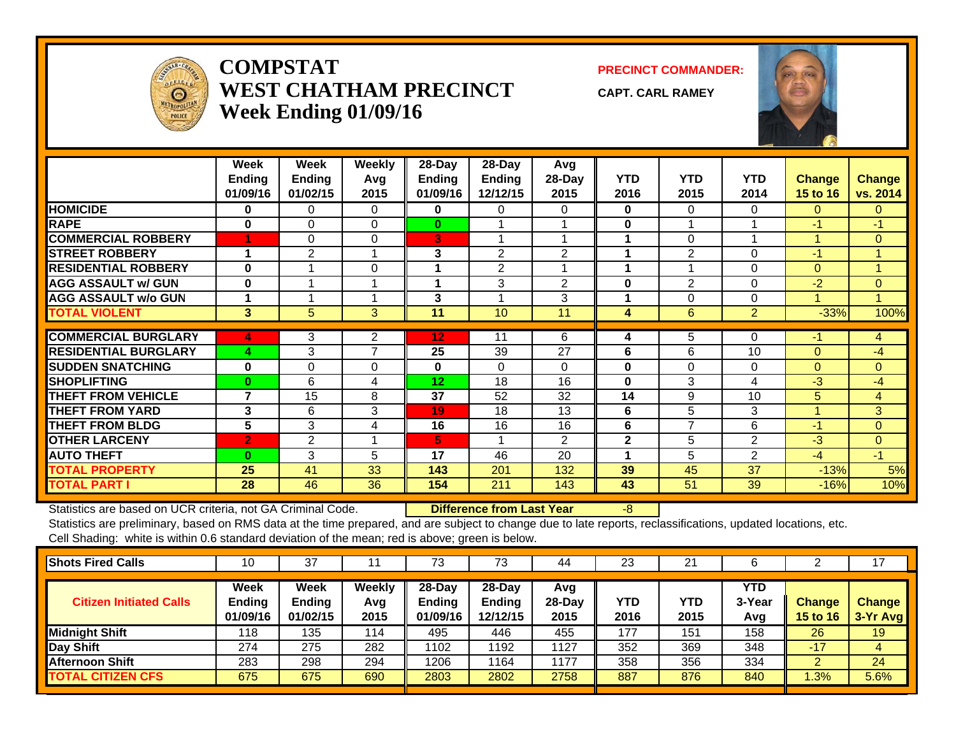

## **COMPSTATWEST CHATHAM PRECINCTWeek Ending 01/09/16**

**PRECINCT COMMANDER:**

**CAPT. CARL RAMEY**



|                             | Week<br>Ending<br>01/09/16 | Week<br><b>Ending</b><br>01/02/15 | <b>Weekly</b><br>Avg<br>2015 | 28-Day<br><b>Ending</b><br>01/09/16 | 28-Day<br><b>Ending</b><br>12/12/15 | Avg<br>28-Day<br>2015 | <b>YTD</b><br>2016 | <b>YTD</b><br>2015 | <b>YTD</b><br>2014 | Change<br><b>15 to 16</b> | <b>Change</b><br>vs. 2014 |
|-----------------------------|----------------------------|-----------------------------------|------------------------------|-------------------------------------|-------------------------------------|-----------------------|--------------------|--------------------|--------------------|---------------------------|---------------------------|
| <b>HOMICIDE</b>             | $\bf{0}$                   | $\Omega$                          | $\Omega$                     | $\bf{0}$                            | 0                                   | 0                     | $\bf{0}$           | 0                  | $\Omega$           | $\Omega$                  | $\Omega$                  |
| <b>RAPE</b>                 | $\bf{0}$                   | $\Omega$                          | $\Omega$                     | $\bf{0}$                            |                                     |                       | 0                  |                    |                    | $-1$                      | $-1$                      |
| <b>COMMERCIAL ROBBERY</b>   | 4                          | $\Omega$                          | $\Omega$                     | 3                                   |                                     |                       |                    | 0                  |                    |                           | $\mathbf{0}$              |
| <b>STREET ROBBERY</b>       | ٠                          | 2                                 |                              | 3                                   | $\overline{2}$                      | 2                     | 4                  | 2                  | $\Omega$           | $-1$                      | $\blacktriangleleft$      |
| <b>RESIDENTIAL ROBBERY</b>  | $\mathbf{0}$               |                                   | $\Omega$                     | 1                                   | 2                                   |                       | 1                  |                    | $\Omega$           | $\Omega$                  | $\blacktriangleleft$      |
| <b>AGG ASSAULT w/ GUN</b>   | $\mathbf 0$                |                                   |                              | 1                                   | 3                                   | 2                     | $\bf{0}$           | $\overline{2}$     | $\Omega$           | $-2$                      | $\Omega$                  |
| <b>AGG ASSAULT w/o GUN</b>  |                            |                                   |                              | 3                                   |                                     | 3                     |                    | 0                  | $\Omega$           |                           | $\overline{A}$            |
| <b>TOTAL VIOLENT</b>        | 3                          | 5                                 | 3                            | 11                                  | 10                                  | 11                    | 4                  | 6                  | $\overline{2}$     | $-33%$                    | 100%                      |
|                             |                            |                                   |                              |                                     |                                     |                       |                    |                    |                    |                           |                           |
| <b>COMMERCIAL BURGLARY</b>  | 4                          | 3                                 | 2                            | 12                                  | 11                                  | 6                     | 4                  | 5                  | $\Omega$           | $-1$                      | 4                         |
| <b>RESIDENTIAL BURGLARY</b> | 4                          | 3                                 | $\overline{7}$               | 25                                  | 39                                  | 27                    | 6                  | 6                  | 10                 | $\Omega$                  | -4                        |
| <b>SUDDEN SNATCHING</b>     | $\bf{0}$                   | $\mathbf 0$                       | $\mathbf 0$                  | $\mathbf{0}$                        | $\Omega$                            | $\Omega$              | 0                  | 0                  | $\Omega$           | $\Omega$                  | $\mathbf{0}$              |
| <b>SHOPLIFTING</b>          | $\mathbf{0}$               | 6                                 | 4                            | 12                                  | 18                                  | 16                    | $\bf{0}$           | 3                  | 4                  | -3                        | -4                        |
| <b>THEFT FROM VEHICLE</b>   | $\overline{\mathbf{z}}$    | 15                                | 8                            | 37                                  | 52                                  | 32                    | 14                 | 9                  | 10                 | 5                         | 4                         |
| <b>THEFT FROM YARD</b>      | 3                          | 6                                 | 3                            | 19                                  | 18                                  | 13                    | 6                  | 5                  | 3                  | $\overline{A}$            | 3                         |
| <b>THEFT FROM BLDG</b>      | 5                          | 3                                 | 4                            | 16                                  | 16                                  | 16                    | 6                  | 7                  | 6                  | $-1$                      | $\Omega$                  |
| <b>OTHER LARCENY</b>        | $\overline{2}$             | $\overline{2}$                    |                              | 5                                   |                                     | 2                     | $\overline{2}$     | 5                  | $\overline{2}$     | $-3$                      | $\mathbf{0}$              |
| <b>AUTO THEFT</b>           | $\mathbf{0}$               | 3                                 | 5                            | 17                                  | 46                                  | 20                    |                    | 5                  | $\overline{2}$     | $-4$                      | $-1$                      |
| <b>TOTAL PROPERTY</b>       | 25                         | 41                                | 33                           | 143                                 | 201                                 | 132                   | 39                 | 45                 | 37                 | $-13%$                    | 5%                        |
| <b>TOTAL PART I</b>         | 28                         | 46                                | 36                           | 154                                 | 211                                 | 143                   | 43                 | 51                 | 39                 | $-16%$                    | 10%                       |

Statistics are based on UCR criteria, not GA Criminal Code. **Difference from Last Year** -8

| <b>Shots Fired Calls</b>       | 10                                | 37                                |                       | 73                              | 73                                    | 44                      | 23                 | 21          |                             |                                  | 17                        |
|--------------------------------|-----------------------------------|-----------------------------------|-----------------------|---------------------------------|---------------------------------------|-------------------------|--------------------|-------------|-----------------------------|----------------------------------|---------------------------|
| <b>Citizen Initiated Calls</b> | Week<br><b>Ending</b><br>01/09/16 | Week<br><b>Ending</b><br>01/02/15 | Weekly<br>Avg<br>2015 | $28$ -Day<br>Ending<br>01/09/16 | $28-Dav$<br><b>Ending</b><br>12/12/15 | Avg<br>$28-Day$<br>2015 | <b>YTD</b><br>2016 | YTD<br>2015 | <b>YTD</b><br>3-Year<br>Avg | <b>Change</b><br><b>15 to 16</b> | <b>Change</b><br>3-Yr Avg |
| Midnight Shift                 | 118                               | 135                               | 114                   | 495                             | 446                                   | 455                     | 177                | 151         | 158                         | 26                               | 19                        |
| Day Shift                      | 274                               | 275                               | 282                   | 1102                            | 1192                                  | 1127                    | 352                | 369         | 348                         | $-17$                            | 4                         |
| <b>Afternoon Shift</b>         | 283                               | 298                               | 294                   | 1206                            | 1164                                  | 1177                    | 358                | 356         | 334                         |                                  | 24                        |
| <b>TOTAL CITIZEN CFS</b>       | 675                               | 675                               | 690                   | 2803                            | 2802                                  | 2758                    | 887                | 876         | 840                         | 1.3%                             | 5.6%                      |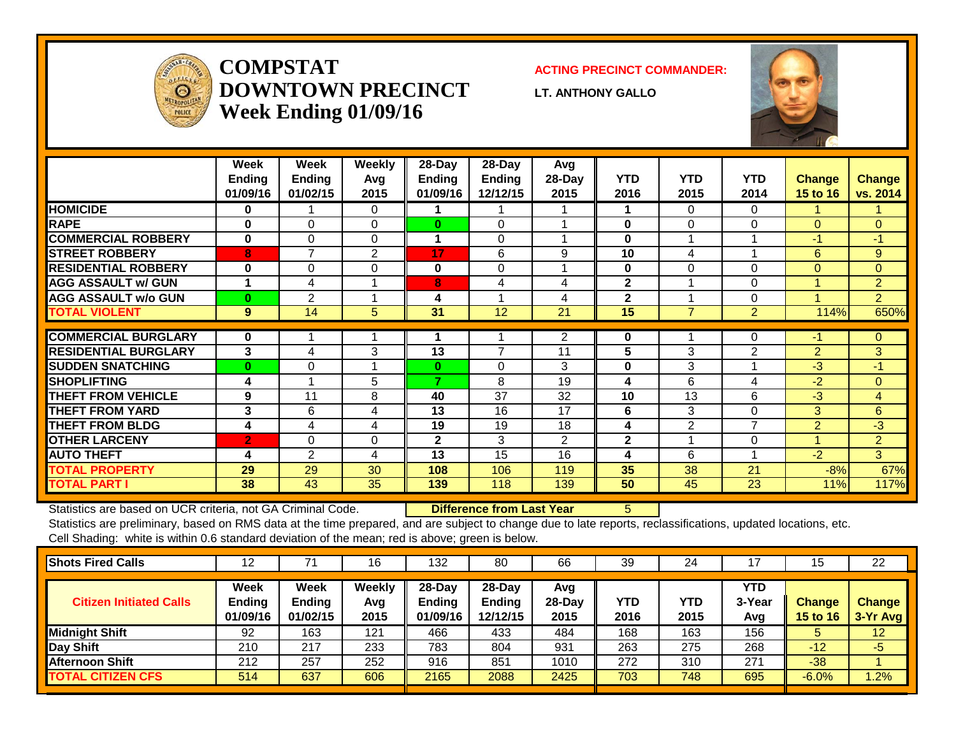

# **COMPSTATDOWNTOWN PRECINCTWeek Ending 01/09/16**

#### **ACTING PRECINCT COMMANDER:**

**LT. ANTHONY GALLO**



|                             | <b>Week</b><br><b>Ending</b><br>01/09/16 | Week<br><b>Ending</b><br>01/02/15 | Weekly<br>Avg<br>2015 | 28-Day<br>Ending<br>01/09/16 | 28-Day<br>Ending<br>12/12/15 | Avg<br>28-Day<br>2015 | <b>YTD</b><br>2016 | <b>YTD</b><br>2015 | <b>YTD</b><br>2014         | <b>Change</b><br>15 to 16 | <b>Change</b><br>vs. 2014 |
|-----------------------------|------------------------------------------|-----------------------------------|-----------------------|------------------------------|------------------------------|-----------------------|--------------------|--------------------|----------------------------|---------------------------|---------------------------|
| <b>HOMICIDE</b>             | 0                                        |                                   | $\Omega$              |                              |                              |                       | 1                  | 0                  | $\Omega$                   |                           |                           |
| <b>RAPE</b>                 | $\bf{0}$                                 | $\Omega$                          | $\Omega$              | $\bf{0}$                     | $\Omega$                     |                       | $\bf{0}$           | 0                  | $\Omega$                   | $\Omega$                  | $\Omega$                  |
| <b>COMMERCIAL ROBBERY</b>   | 0                                        | $\Omega$                          | $\Omega$              | 1                            | $\Omega$                     |                       | $\bf{0}$           |                    | $\boldsymbol{\mathcal{A}}$ | $-1$                      | $-1$                      |
| <b>STREET ROBBERY</b>       | 8                                        | $\overline{7}$                    | $\overline{2}$        | 17                           | 6                            | 9                     | 10                 | 4                  | $\overline{\mathbf{A}}$    | 6                         | 9                         |
| <b>RESIDENTIAL ROBBERY</b>  | $\bf{0}$                                 | 0                                 | 0                     | 0                            | $\Omega$                     |                       | $\bf{0}$           | $\Omega$           | $\Omega$                   | $\Omega$                  | $\Omega$                  |
| <b>AGG ASSAULT w/ GUN</b>   |                                          | 4                                 |                       | 8                            | 4                            | 4                     | $\mathbf{2}$       |                    | 0                          | -1                        | $\overline{2}$            |
| <b>AGG ASSAULT w/o GUN</b>  | $\bf{0}$                                 | $\overline{2}$                    |                       | 4                            |                              | 4                     | $\mathbf{2}$       |                    | $\Omega$                   |                           | $\overline{2}$            |
| <b>TOTAL VIOLENT</b>        | 9                                        | 14                                | 5                     | 31                           | 12                           | 21                    | 15                 | $\overline{7}$     | $\overline{2}$             | 114%                      | 650%                      |
| <b>COMMERCIAL BURGLARY</b>  | 0                                        |                                   |                       |                              |                              | 2                     |                    |                    | 0                          | $-1$                      |                           |
|                             |                                          |                                   |                       |                              |                              |                       | 0                  |                    |                            |                           | $\mathbf{0}$              |
| <b>RESIDENTIAL BURGLARY</b> | 3                                        | 4                                 | 3                     | 13                           | 7                            | 11                    | 5                  | 3                  | 2                          | $\overline{2}$            | 3                         |
| <b>SUDDEN SNATCHING</b>     | $\bf{0}$                                 | 0                                 |                       | $\bf{0}$                     | 0                            | 3                     | $\bf{0}$           | 3                  |                            | $-3$                      | $-1$                      |
| <b>SHOPLIFTING</b>          | 4                                        |                                   | 5                     | $\overline{\phantom{a}}$     | 8                            | 19                    | 4                  | 6                  | 4                          | $-2$                      | $\mathbf{0}$              |
| <b>THEFT FROM VEHICLE</b>   | 9                                        | 11                                | 8                     | 40                           | 37                           | 32                    | 10                 | 13                 | 6                          | $-3$                      | 4                         |
| <b>THEFT FROM YARD</b>      | 3                                        | 6                                 | 4                     | 13                           | 16                           | 17                    | 6                  | 3                  | $\Omega$                   | 3                         | 6                         |
| <b>THEFT FROM BLDG</b>      | 4                                        | 4                                 | 4                     | 19                           | 19                           | 18                    | 4                  | 2                  | 7                          | $\overline{2}$            | $-3$                      |
| <b>OTHER LARCENY</b>        | $\overline{2}$                           | 0                                 | 0                     | $\mathbf{2}$                 | 3                            | 2                     | $\mathbf{2}$       |                    | 0                          |                           | $\overline{2}$            |
| <b>AUTO THEFT</b>           | 4                                        | 2                                 | 4                     | 13                           | 15                           | 16                    | 4                  | 6                  |                            | $-2$                      | 3                         |
| <b>TOTAL PROPERTY</b>       | 29                                       | 29                                | 30                    | 108                          | 106                          | 119                   | 35                 | 38                 | 21                         | $-8%$                     | 67%                       |
| <b>TOTAL PART I</b>         | 38                                       | 43                                | 35                    | 139                          | 118                          | 139                   | 50                 | 45                 | 23                         | 11%                       | 117%                      |

Statistics are based on UCR criteria, not GA Criminal Code. **Difference from Last Year** 5

| <b>Shots Fired Calls</b>       | 12                         |                                          | 16                    | 132                                 | 80                                     | 66                      | 39          | 24          |                             | 15                               | 22                        |
|--------------------------------|----------------------------|------------------------------------------|-----------------------|-------------------------------------|----------------------------------------|-------------------------|-------------|-------------|-----------------------------|----------------------------------|---------------------------|
| <b>Citizen Initiated Calls</b> | Week<br>Ending<br>01/09/16 | <b>Week</b><br><b>Ending</b><br>01/02/15 | Weekly<br>Avg<br>2015 | 28-Day<br><b>Ending</b><br>01/09/16 | $28$ -Day<br><b>Ending</b><br>12/12/15 | Avg<br>$28-Day$<br>2015 | YTD<br>2016 | YTD<br>2015 | <b>YTD</b><br>3-Year<br>Avg | <b>Change</b><br><b>15 to 16</b> | <b>Change</b><br>3-Yr Avg |
| <b>Midnight Shift</b>          | 92                         | 163                                      | 121                   | 466                                 | 433                                    | 484                     | 168         | 163         | 156                         | 5                                | 12                        |
| <b>Day Shift</b>               | 210                        | 217                                      | 233                   | 783                                 | 804                                    | 931                     | 263         | 275         | 268                         | $-12$                            | -5                        |
| <b>Afternoon Shift</b>         | 212                        | 257                                      | 252                   | 916                                 | 851                                    | 1010                    | 272         | 310         | 271                         | $-38$                            |                           |
| <b>TOTAL CITIZEN CFS</b>       | 514                        | 637                                      | 606                   | 2165                                | 2088                                   | 2425                    | 703         | 748         | 695                         | $-6.0%$                          | .2%                       |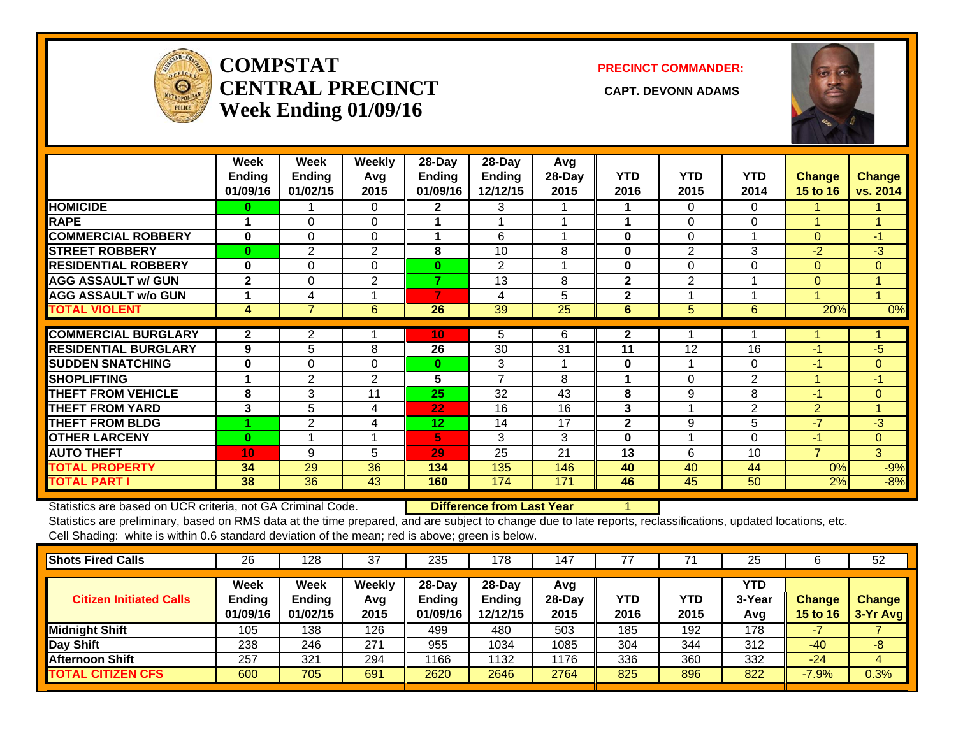

## **COMPSTATCENTRAL PRECINCT** CAPT. DEVONN ADAMS **Week Ending 01/09/16**

#### **PRECINCT COMMANDER:**



|                             | Week          | Week           | <b>Weekly</b>  | 28-Day          | 28-Day         | Avg    |                |                |                |                 |               |
|-----------------------------|---------------|----------------|----------------|-----------------|----------------|--------|----------------|----------------|----------------|-----------------|---------------|
|                             | <b>Ending</b> | <b>Ending</b>  | Avg            | <b>Ending</b>   | <b>Ending</b>  | 28-Day | <b>YTD</b>     | <b>YTD</b>     | <b>YTD</b>     | <b>Change</b>   | <b>Change</b> |
|                             | 01/09/16      | 01/02/15       | 2015           | 01/09/16        | 12/12/15       | 2015   | 2016           | 2015           | 2014           | <b>15 to 16</b> | vs. 2014      |
| <b>HOMICIDE</b>             | 0             |                | $\Omega$       | $\mathbf{2}$    | 3              |        |                | 0              | $\Omega$       |                 |               |
| <b>RAPE</b>                 |               | 0              | $\Omega$       |                 |                |        |                | 0              | $\Omega$       |                 |               |
| <b>COMMERCIAL ROBBERY</b>   | $\bf{0}$      | 0              | $\Omega$       | 1               | 6              |        | $\bf{0}$       | 0              |                | $\Omega$        | -1            |
| <b>STREET ROBBERY</b>       | $\bf{0}$      | $\overline{2}$ | $\overline{2}$ | 8               | 10             | 8      | $\bf{0}$       | $\overline{2}$ | 3              | $-2$            | $-3$          |
| <b>RESIDENTIAL ROBBERY</b>  | $\bf{0}$      | 0              | $\Omega$       | 0               | $\overline{2}$ |        | $\bf{0}$       | 0              | $\Omega$       | $\Omega$        | $\Omega$      |
| <b>AGG ASSAULT w/ GUN</b>   | $\mathbf{2}$  | 0              | 2              | 7               | 13             | 8      | $\overline{2}$ | 2              |                | 0               |               |
| <b>AGG ASSAULT w/o GUN</b>  |               | 4              |                | 7               | 4              | 5      | $\mathbf{2}$   |                |                |                 |               |
| <b>TOTAL VIOLENT</b>        | 4             | $\overline{7}$ | 6              | 26              | 39             | 25     | 6              | 5              | 6              | 20%             | 0%            |
|                             |               |                |                |                 |                |        |                |                |                |                 |               |
| <b>COMMERCIAL BURGLARY</b>  | $\mathbf{2}$  | 2              |                | 10              | 5              | 6      | $\mathbf{2}$   |                |                |                 |               |
| <b>RESIDENTIAL BURGLARY</b> | 9             | 5              | 8              | 26              | 30             | 31     | 11             | 12             | 16             | -1              | $-5$          |
| <b>SUDDEN SNATCHING</b>     | 0             | 0              | $\Omega$       | $\bf{0}$        | 3              | 1      | $\bf{0}$       |                | $\Omega$       | $-1$            | $\Omega$      |
| <b>SHOPLIFTING</b>          |               | $\overline{2}$ | 2              | 5               | $\overline{7}$ | 8      |                | 0              | $\overline{2}$ |                 | $-1$          |
| <b>THEFT FROM VEHICLE</b>   | 8             | 3              | 11             | 25              | 32             | 43     | 8              | 9              | 8              | -1              | $\Omega$      |
| <b>THEFT FROM YARD</b>      | 3             | 5              | 4              | 22              | 16             | 16     | 3              |                | $\overline{2}$ | $\overline{2}$  |               |
| <b>THEFT FROM BLDG</b>      |               | 2              | 4              | 12 <sub>2</sub> | 14             | 17     | $\mathbf{2}$   | 9              | 5              | $-7$            | $-3$          |
| <b>OTHER LARCENY</b>        | $\bf{0}$      |                | 1              | 5.              | 3              | 3      | $\bf{0}$       |                | $\Omega$       | $-1$            | $\Omega$      |
| <b>AUTO THEFT</b>           | 10            | 9              | 5              | 29              | 25             | 21     | 13             | 6              | 10             | $\overline{7}$  | 3             |
| <b>TOTAL PROPERTY</b>       | 34            | 29             | 36             | 134             | 135            | 146    | 40             | 40             | 44             | 0%              | $-9%$         |
| <b>TOTAL PART I</b>         | 38            | 36             | 43             | 160             | 174            | 171    | 46             | 45             | 50             | 2%              | $-8%$         |

Statistics are based on UCR criteria, not GA Criminal Code. **Difference from Last Year** 1

| <b>Shots Fired Calls</b>       | 26                                | 128                               | 37                    | 235                             | 178                                   | 147                     |                    |             | 25                          |                                  | 52                        |
|--------------------------------|-----------------------------------|-----------------------------------|-----------------------|---------------------------------|---------------------------------------|-------------------------|--------------------|-------------|-----------------------------|----------------------------------|---------------------------|
| <b>Citizen Initiated Calls</b> | Week<br><b>Ending</b><br>01/09/16 | Week<br><b>Ending</b><br>01/02/15 | Weekly<br>Avg<br>2015 | $28$ -Day<br>Ending<br>01/09/16 | $28-Day$<br><b>Ending</b><br>12/12/15 | Avg<br>$28-Day$<br>2015 | <b>YTD</b><br>2016 | YTD<br>2015 | <b>YTD</b><br>3-Year<br>Avg | <b>Change</b><br><b>15 to 16</b> | <b>Change</b><br>3-Yr Avg |
| Midnight Shift                 | 105                               | 138                               | 126                   | 499                             | 480                                   | 503                     | 185                | 192         | 178                         |                                  |                           |
| Day Shift                      | 238                               | 246                               | 271                   | 955                             | 1034                                  | 1085                    | 304                | 344         | 312                         | $-40$                            | -8                        |
| <b>Afternoon Shift</b>         | 257                               | 321                               | 294                   | 1166                            | 1132                                  | 1176                    | 336                | 360         | 332                         | $-24$                            | 4                         |
| <b>TOTAL CITIZEN CFS</b>       | 600                               | 705                               | 691                   | 2620                            | 2646                                  | 2764                    | 825                | 896         | 822                         | $-7.9%$                          | 0.3%                      |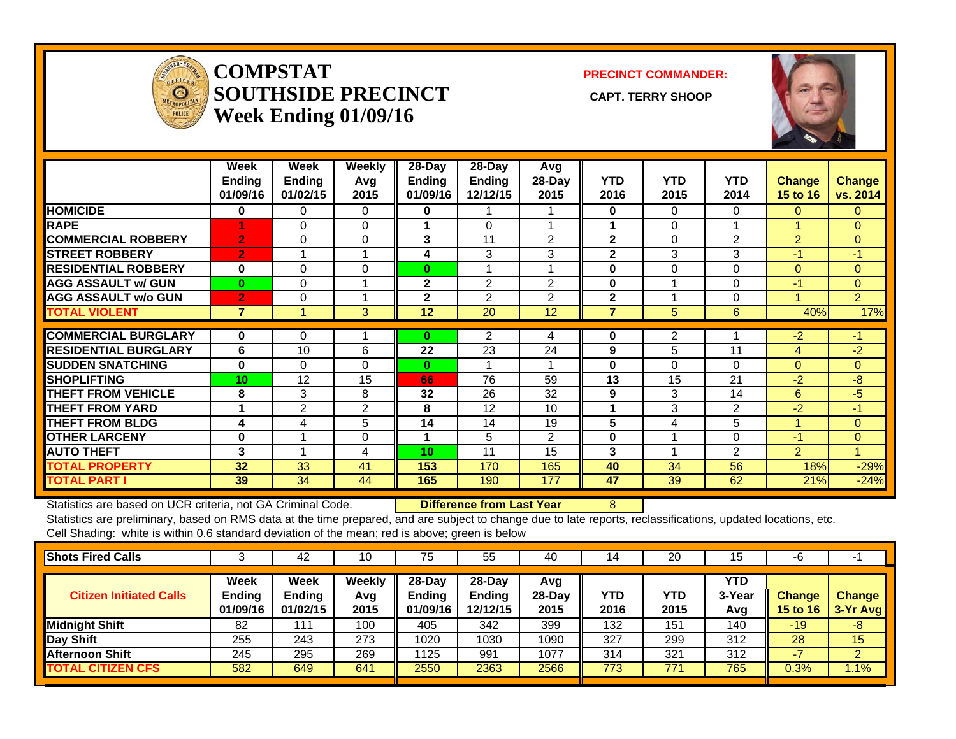

#### **COMPSTATSOUTHSIDE PRECINCT** CAPT. TERRY SHOOP **Week Ending 01/09/16**

**PRECINCT COMMANDER:**



|                             | Week<br><b>Ending</b><br>01/09/16 | Week<br><b>Ending</b><br>01/02/15 | <b>Weekly</b><br>Avq<br>2015 | $28$ -Day<br>Ending<br>01/09/16 | $28-Day$<br>Ending<br>12/12/15 | Avg<br>$28-Day$<br>2015 | <b>YTD</b><br>2016 | <b>YTD</b><br>2015 | <b>YTD</b><br>2014 | <b>Change</b><br><b>15 to 16</b> | <b>Change</b><br>vs. 2014 |
|-----------------------------|-----------------------------------|-----------------------------------|------------------------------|---------------------------------|--------------------------------|-------------------------|--------------------|--------------------|--------------------|----------------------------------|---------------------------|
| <b>HOMICIDE</b>             | 0                                 | 0                                 | $\Omega$                     | 0                               |                                |                         | $\bf{0}$           | 0                  | 0                  | 0                                | $\Omega$                  |
| <b>RAPE</b>                 |                                   | $\Omega$                          | 0                            |                                 | $\Omega$                       |                         |                    | 0                  |                    |                                  | $\Omega$                  |
| <b>COMMERCIAL ROBBERY</b>   | $\overline{2}$                    | $\Omega$                          | $\Omega$                     | 3                               | 11                             | 2                       | $\mathbf{2}$       | 0                  | 2                  | $\overline{2}$                   | $\Omega$                  |
| <b>STREET ROBBERY</b>       | $\overline{2}$                    |                                   |                              | 4                               | 3                              | 3                       | $\mathbf{2}$       | 3                  | 3                  | $-1/$                            | $-1$                      |
| <b>RESIDENTIAL ROBBERY</b>  | 0                                 | 0                                 | $\Omega$                     | $\bf{0}$                        | 1                              |                         | $\bf{0}$           | 0                  | $\Omega$           | $\Omega$                         | $\Omega$                  |
| <b>AGG ASSAULT w/ GUN</b>   | $\bf{0}$                          | 0                                 |                              | $\mathbf{2}$                    | 2                              | 2                       | $\bf{0}$           | и                  | 0                  | $-1$                             | $\mathbf{0}$              |
| <b>AGG ASSAULT w/o GUN</b>  | $\overline{2}$                    | 0                                 |                              | $\mathbf{2}$                    | 2                              | 2                       | $\mathbf{2}$       |                    | 0                  |                                  | $\overline{2}$            |
| <b>TOTAL VIOLENT</b>        | $\overline{7}$                    |                                   | 3                            | 12                              | 20                             | 12                      | $\overline{7}$     | 5                  | 6                  | 40%                              | 17%                       |
| <b>COMMERCIAL BURGLARY</b>  | 0                                 | $\Omega$                          |                              | 0                               | 2                              | 4                       | $\bf{0}$           | 2                  |                    | $-2$                             | -1                        |
|                             |                                   |                                   |                              |                                 |                                |                         |                    |                    |                    |                                  |                           |
| <b>RESIDENTIAL BURGLARY</b> | 6                                 | 10                                | 6                            | 22                              | 23                             | 24                      | 9                  | 5                  | 11                 | 4                                | $-2$                      |
| <b>SUDDEN SNATCHING</b>     | 0                                 | 0                                 | 0                            | $\bf{0}$                        | 1                              |                         | $\bf{0}$           | 0                  | $\Omega$           | $\overline{0}$                   | $\overline{0}$            |
| <b>SHOPLIFTING</b>          | 10 <sup>1</sup>                   | 12                                | 15                           | 66                              | 76                             | 59                      | 13                 | 15                 | 21                 | $-2$                             | $-8$                      |
| <b>THEFT FROM VEHICLE</b>   | 8                                 | 3                                 | 8                            | 32                              | 26                             | 32                      | 9                  | 3                  | 14                 | 6                                | $-5$                      |
| <b>THEFT FROM YARD</b>      | 4                                 | $\overline{2}$                    | 2                            | 8                               | 12                             | 10                      | 1                  | 3                  | 2                  | $-2$                             | $-1$                      |
| <b>THEFT FROM BLDG</b>      | 4                                 | 4                                 | 5                            | 14                              | 14                             | 19                      | 5                  | 4                  | 5                  |                                  | $\Omega$                  |
| <b>OTHER LARCENY</b>        | 0                                 |                                   | $\Omega$                     | 1                               | 5                              | $\overline{2}$          | 0                  |                    | $\Omega$           | $-1$                             | $\mathbf{0}$              |
| <b>AUTO THEFT</b>           | 3                                 |                                   | 4                            | 10 <sup>1</sup>                 | 11                             | 15                      | 3                  |                    | $\overline{2}$     | $\overline{2}$                   |                           |
| <b>TOTAL PROPERTY</b>       | 32                                | 33                                | 41                           | 153                             | 170                            | 165                     | 40                 | 34                 | 56                 | 18%                              | $-29%$                    |
| <b>TOTAL PART I</b>         | 39                                | 34                                | 44                           | 165                             | 190                            | 177                     | 47                 | 39                 | 62                 | 21%                              | $-24%$                    |

Statistics are based on UCR criteria, not GA Criminal Code. **Difference from Last Year** 8

| <b>Shots Fired Calls</b>       |                                   | 42                                       | 10                    | 75                                  | 55                                    | 40                       | 14          | 20          | 15                   | -6                        | $\overline{\phantom{a}}$  |
|--------------------------------|-----------------------------------|------------------------------------------|-----------------------|-------------------------------------|---------------------------------------|--------------------------|-------------|-------------|----------------------|---------------------------|---------------------------|
| <b>Citizen Initiated Calls</b> | Week<br><b>Ending</b><br>01/09/16 | <b>Week</b><br><b>Ending</b><br>01/02/15 | Weekly<br>Avg<br>2015 | 28-Day<br><b>Ending</b><br>01/09/16 | $28-Day$<br><b>Ending</b><br>12/12/15 | Avg<br>$28$ -Day<br>2015 | YTD<br>2016 | YTD<br>2015 | YTD<br>3-Year<br>Avg | <b>Change</b><br>15 to 16 | <b>Change</b><br>3-Yr Avg |
| <b>Midnight Shift</b>          | 82                                | 111                                      | 100                   | 405                                 | 342                                   | 399                      | 132         | 151         | 140                  | $-19$                     | -8                        |
| <b>Day Shift</b>               | 255                               | 243                                      | 273                   | 1020                                | 1030                                  | 1090                     | 327         | 299         | 312                  | 28                        | 15                        |
| <b>Afternoon Shift</b>         | 245                               | 295                                      | 269                   | 1125                                | 991                                   | 1077                     | 314         | 321         | 312                  |                           | $\overline{2}$            |
| <b>TOTAL CITIZEN CFS</b>       | 582                               | 649                                      | 641                   | 2550                                | 2363                                  | 2566                     | 773         | 771         | 765                  | 0.3%                      | 1.1%                      |